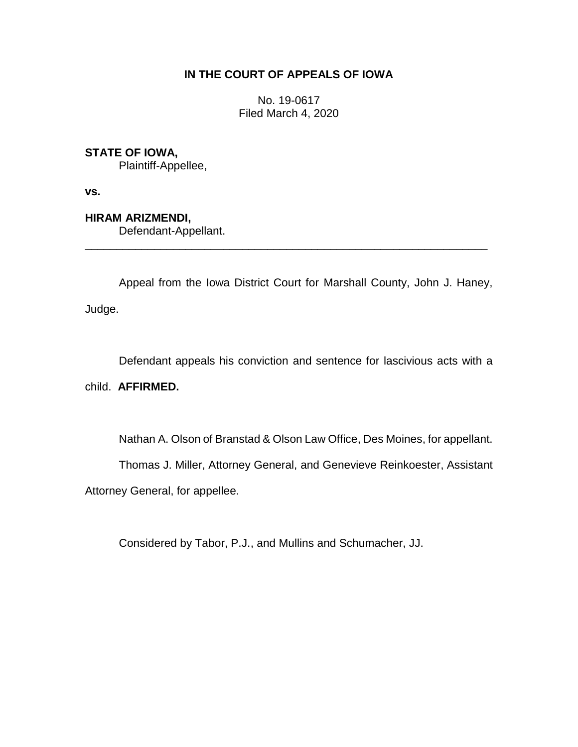## **IN THE COURT OF APPEALS OF IOWA**

No. 19-0617 Filed March 4, 2020

# **STATE OF IOWA,**

Plaintiff-Appellee,

**vs.**

**HIRAM ARIZMENDI,**

Defendant-Appellant.

Appeal from the Iowa District Court for Marshall County, John J. Haney, Judge.

\_\_\_\_\_\_\_\_\_\_\_\_\_\_\_\_\_\_\_\_\_\_\_\_\_\_\_\_\_\_\_\_\_\_\_\_\_\_\_\_\_\_\_\_\_\_\_\_\_\_\_\_\_\_\_\_\_\_\_\_\_\_\_\_

Defendant appeals his conviction and sentence for lascivious acts with a

## child. **AFFIRMED.**

Nathan A. Olson of Branstad & Olson Law Office, Des Moines, for appellant.

Thomas J. Miller, Attorney General, and Genevieve Reinkoester, Assistant

Attorney General, for appellee.

Considered by Tabor, P.J., and Mullins and Schumacher, JJ.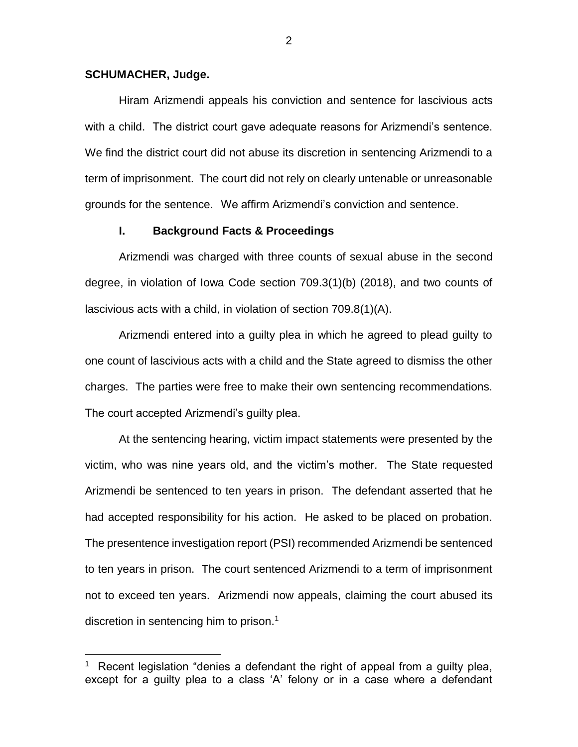#### **SCHUMACHER, Judge.**

 $\overline{a}$ 

Hiram Arizmendi appeals his conviction and sentence for lascivious acts with a child. The district court gave adequate reasons for Arizmendi's sentence. We find the district court did not abuse its discretion in sentencing Arizmendi to a term of imprisonment. The court did not rely on clearly untenable or unreasonable grounds for the sentence. We affirm Arizmendi's conviction and sentence.

#### **I. Background Facts & Proceedings**

Arizmendi was charged with three counts of sexual abuse in the second degree, in violation of Iowa Code section 709.3(1)(b) (2018), and two counts of lascivious acts with a child, in violation of section 709.8(1)(A).

Arizmendi entered into a guilty plea in which he agreed to plead guilty to one count of lascivious acts with a child and the State agreed to dismiss the other charges. The parties were free to make their own sentencing recommendations. The court accepted Arizmendi's guilty plea.

At the sentencing hearing, victim impact statements were presented by the victim, who was nine years old, and the victim's mother. The State requested Arizmendi be sentenced to ten years in prison. The defendant asserted that he had accepted responsibility for his action. He asked to be placed on probation. The presentence investigation report (PSI) recommended Arizmendi be sentenced to ten years in prison. The court sentenced Arizmendi to a term of imprisonment not to exceed ten years. Arizmendi now appeals, claiming the court abused its discretion in sentencing him to prison.<sup>1</sup>

<sup>&</sup>lt;sup>1</sup> Recent legislation "denies a defendant the right of appeal from a guilty plea, except for a guilty plea to a class 'A' felony or in a case where a defendant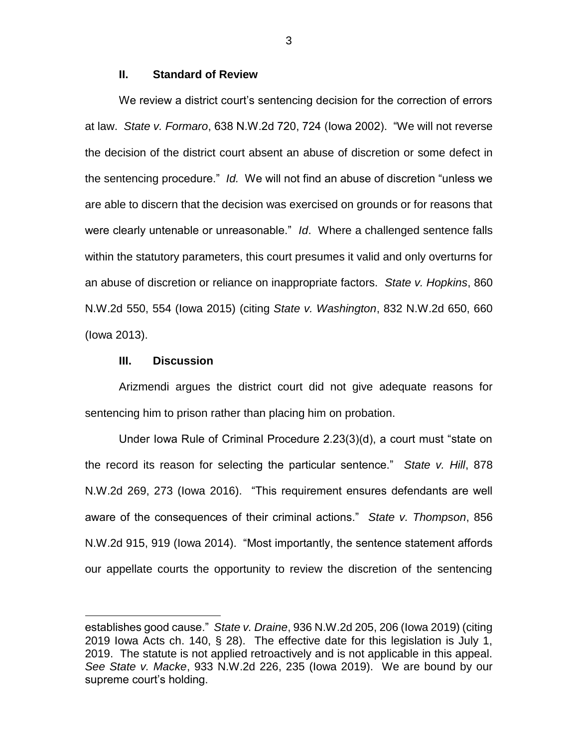#### **II. Standard of Review**

We review a district court's sentencing decision for the correction of errors at law. *State v. Formaro*, 638 N.W.2d 720, 724 (Iowa 2002). "We will not reverse the decision of the district court absent an abuse of discretion or some defect in the sentencing procedure." *Id.* We will not find an abuse of discretion "unless we are able to discern that the decision was exercised on grounds or for reasons that were clearly untenable or unreasonable." *Id*. Where a challenged sentence falls within the statutory parameters, this court presumes it valid and only overturns for an abuse of discretion or reliance on inappropriate factors. *State v. Hopkins*, 860 N.W.2d 550, 554 (Iowa 2015) (citing *State v. Washington*, 832 N.W.2d 650, 660 (Iowa 2013).

#### **III. Discussion**

 $\overline{a}$ 

Arizmendi argues the district court did not give adequate reasons for sentencing him to prison rather than placing him on probation.

Under Iowa Rule of Criminal Procedure 2.23(3)(d), a court must "state on the record its reason for selecting the particular sentence." *State v. Hill*, 878 N.W.2d 269, 273 (Iowa 2016). "This requirement ensures defendants are well aware of the consequences of their criminal actions." *State v. Thompson*, 856 N.W.2d 915, 919 (Iowa 2014). "Most importantly, the sentence statement affords our appellate courts the opportunity to review the discretion of the sentencing

3

establishes good cause." *State v. Draine*, 936 N.W.2d 205, 206 (Iowa 2019) (citing 2019 Iowa Acts ch. 140, § 28). The effective date for this legislation is July 1, 2019. The statute is not applied retroactively and is not applicable in this appeal. *See State v. Macke*, 933 N.W.2d 226, 235 (Iowa 2019). We are bound by our supreme court's holding.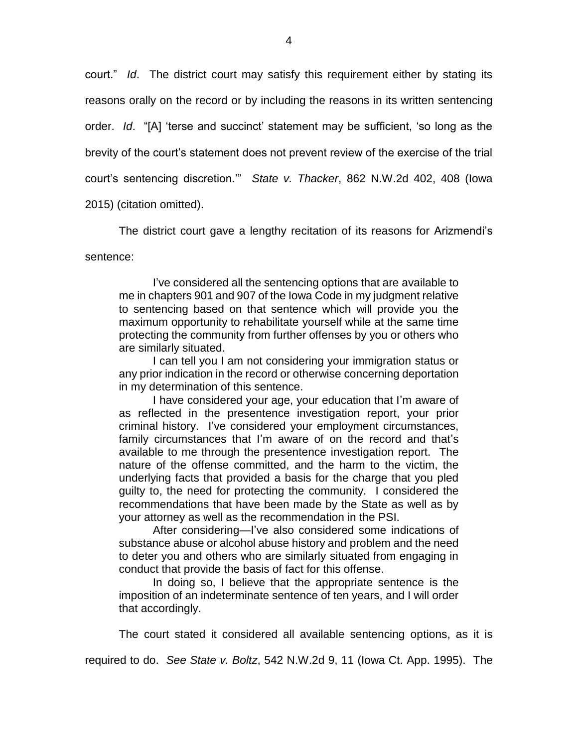court." *Id*. The district court may satisfy this requirement either by stating its reasons orally on the record or by including the reasons in its written sentencing order. *Id*. "[A] 'terse and succinct' statement may be sufficient, 'so long as the brevity of the court's statement does not prevent review of the exercise of the trial court's sentencing discretion.'" *State v. Thacker*, 862 N.W.2d 402, 408 (Iowa 2015) (citation omitted).

The district court gave a lengthy recitation of its reasons for Arizmendi's sentence:

I've considered all the sentencing options that are available to me in chapters 901 and 907 of the Iowa Code in my judgment relative to sentencing based on that sentence which will provide you the maximum opportunity to rehabilitate yourself while at the same time protecting the community from further offenses by you or others who are similarly situated.

I can tell you I am not considering your immigration status or any prior indication in the record or otherwise concerning deportation in my determination of this sentence.

I have considered your age, your education that I'm aware of as reflected in the presentence investigation report, your prior criminal history. I've considered your employment circumstances, family circumstances that I'm aware of on the record and that's available to me through the presentence investigation report. The nature of the offense committed, and the harm to the victim, the underlying facts that provided a basis for the charge that you pled guilty to, the need for protecting the community. I considered the recommendations that have been made by the State as well as by your attorney as well as the recommendation in the PSI.

After considering—I've also considered some indications of substance abuse or alcohol abuse history and problem and the need to deter you and others who are similarly situated from engaging in conduct that provide the basis of fact for this offense.

In doing so, I believe that the appropriate sentence is the imposition of an indeterminate sentence of ten years, and I will order that accordingly.

The court stated it considered all available sentencing options, as it is

required to do. *See State v. Boltz*, 542 N.W.2d 9, 11 (Iowa Ct. App. 1995). The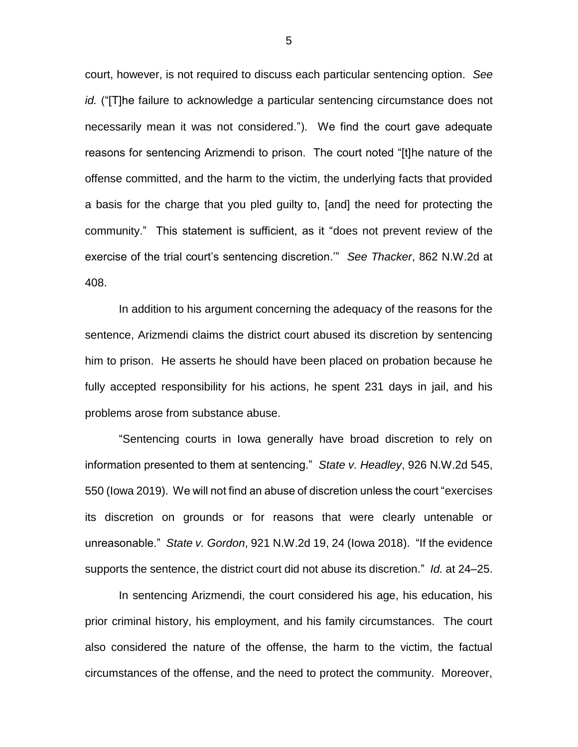court, however, is not required to discuss each particular sentencing option. *See id.* ("[T]he failure to acknowledge a particular sentencing circumstance does not necessarily mean it was not considered."). We find the court gave adequate reasons for sentencing Arizmendi to prison. The court noted "[t]he nature of the offense committed, and the harm to the victim, the underlying facts that provided a basis for the charge that you pled guilty to, [and] the need for protecting the community." This statement is sufficient, as it "does not prevent review of the exercise of the trial court's sentencing discretion.'" *See Thacker*, 862 N.W.2d at 408.

In addition to his argument concerning the adequacy of the reasons for the sentence, Arizmendi claims the district court abused its discretion by sentencing him to prison. He asserts he should have been placed on probation because he fully accepted responsibility for his actions, he spent 231 days in jail, and his problems arose from substance abuse.

"Sentencing courts in Iowa generally have broad discretion to rely on information presented to them at sentencing." *State v. Headley*, 926 N.W.2d 545, 550 (Iowa 2019). We will not find an abuse of discretion unless the court "exercises its discretion on grounds or for reasons that were clearly untenable or unreasonable." *State v. Gordon*, 921 N.W.2d 19, 24 (Iowa 2018). "If the evidence supports the sentence, the district court did not abuse its discretion." *Id.* at 24–25.

In sentencing Arizmendi, the court considered his age, his education, his prior criminal history, his employment, and his family circumstances. The court also considered the nature of the offense, the harm to the victim, the factual circumstances of the offense, and the need to protect the community. Moreover,